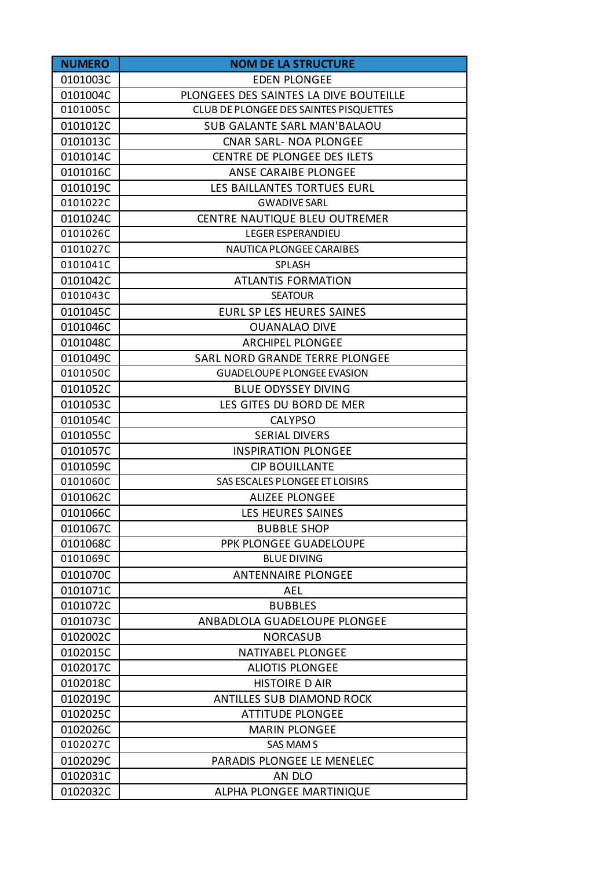| <b>NUMERO</b> | <b>NOM DE LA STRUCTURE</b>             |
|---------------|----------------------------------------|
| 0101003C      | <b>EDEN PLONGEE</b>                    |
| 0101004C      | PLONGEES DES SAINTES LA DIVE BOUTEILLE |
| 0101005C      | CLUB DE PLONGEE DES SAINTES PISQUETTES |
| 0101012C      | <b>SUB GALANTE SARL MAN'BALAOU</b>     |
| 0101013C      | <b>CNAR SARL- NOA PLONGEE</b>          |
| 0101014C      | CENTRE DE PLONGEE DES ILETS            |
| 0101016C      | ANSE CARAIBE PLONGEE                   |
| 0101019C      | LES BAILLANTES TORTUES EURL            |
| 0101022C      | <b>GWADIVE SARL</b>                    |
| 0101024C      | <b>CENTRE NAUTIQUE BLEU OUTREMER</b>   |
| 0101026C      | <b>LEGER ESPERANDIEU</b>               |
| 0101027C      | <b>NAUTICA PLONGEE CARAIBES</b>        |
| 0101041C      | SPLASH                                 |
| 0101042C      | <b>ATLANTIS FORMATION</b>              |
| 0101043C      | <b>SEATOUR</b>                         |
| 0101045C      | EURL SP LES HEURES SAINES              |
| 0101046C      | <b>OUANALAO DIVE</b>                   |
| 0101048C      | <b>ARCHIPEL PLONGEE</b>                |
| 0101049C      | SARL NORD GRANDE TERRE PLONGEE         |
| 0101050C      | <b>GUADELOUPE PLONGEE EVASION</b>      |
| 0101052C      | <b>BLUE ODYSSEY DIVING</b>             |
| 0101053C      | LES GITES DU BORD DE MER               |
| 0101054C      | <b>CALYPSO</b>                         |
| 0101055C      | <b>SERIAL DIVERS</b>                   |
| 0101057C      | <b>INSPIRATION PLONGEE</b>             |
| 0101059C      | <b>CIP BOUILLANTE</b>                  |
| 0101060C      | SAS ESCALES PLONGEE ET LOISIRS         |
| 0101062C      | <b>ALIZEE PLONGEE</b>                  |
| 0101066C      | LES HEURES SAINES                      |
| 0101067C      | <b>BUBBLE SHOP</b>                     |
| 0101068C      | PPK PLONGEE GUADELOUPE                 |
| 0101069C      | <b>BLUE DIVING</b>                     |
| 0101070C      | <b>ANTENNAIRE PLONGEE</b>              |
| 0101071C      | AEL                                    |
| 0101072C      | <b>BUBBLES</b>                         |
| 0101073C      | ANBADLOLA GUADELOUPE PLONGEE           |
| 0102002C      | <b>NORCASUB</b>                        |
| 0102015C      | <b>NATIYABEL PLONGEE</b>               |
| 0102017C      | <b>ALIOTIS PLONGEE</b>                 |
| 0102018C      | <b>HISTOIRE D AIR</b>                  |
| 0102019C      | <b>ANTILLES SUB DIAMOND ROCK</b>       |
| 0102025C      | <b>ATTITUDE PLONGEE</b>                |
| 0102026C      | <b>MARIN PLONGEE</b>                   |
| 0102027C      | <b>SAS MAMS</b>                        |
| 0102029C      | PARADIS PLONGEE LE MENELEC             |
| 0102031C      | AN DLO                                 |
| 0102032C      | ALPHA PLONGEE MARTINIQUE               |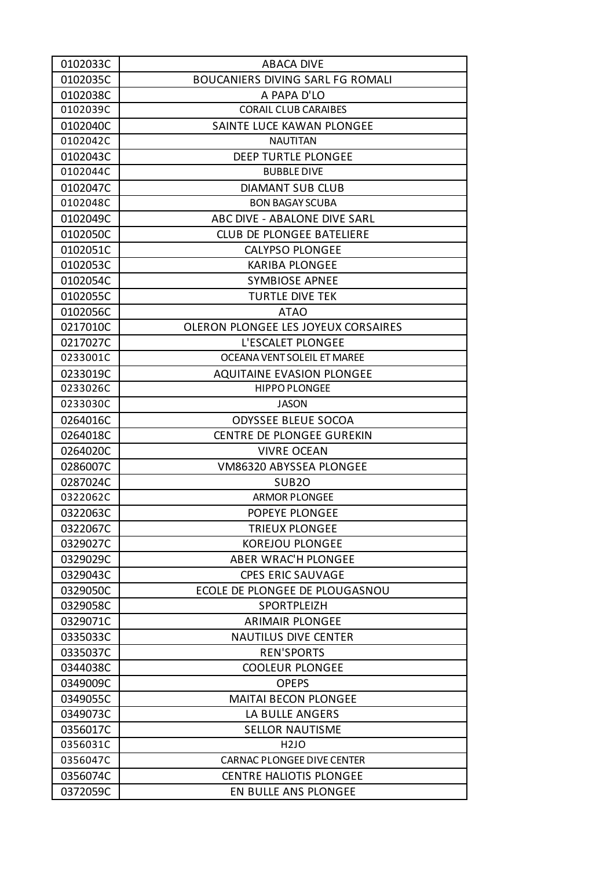| 0102033C | <b>ABACA DIVE</b>                          |
|----------|--------------------------------------------|
| 0102035C | <b>BOUCANIERS DIVING SARL FG ROMALI</b>    |
| 0102038C | A PAPA D'LO                                |
| 0102039C | <b>CORAIL CLUB CARAIBES</b>                |
| 0102040C | SAINTE LUCE KAWAN PLONGEE                  |
| 0102042C | <b>NAUTITAN</b>                            |
| 0102043C | <b>DEEP TURTLE PLONGEE</b>                 |
| 0102044C | <b>BUBBLE DIVE</b>                         |
| 0102047C | <b>DIAMANT SUB CLUB</b>                    |
| 0102048C | <b>BON BAGAY SCUBA</b>                     |
| 0102049C | ABC DIVE - ABALONE DIVE SARL               |
| 0102050C | <b>CLUB DE PLONGEE BATELIERE</b>           |
| 0102051C | <b>CALYPSO PLONGEE</b>                     |
| 0102053C | <b>KARIBA PLONGEE</b>                      |
| 0102054C | <b>SYMBIOSE APNEE</b>                      |
| 0102055C | <b>TURTLE DIVE TEK</b>                     |
| 0102056C | <b>ATAO</b>                                |
| 0217010C | <b>OLERON PLONGEE LES JOYEUX CORSAIRES</b> |
| 0217027C | L'ESCALET PLONGEE                          |
| 0233001C | OCEANA VENT SOLEIL ET MAREE                |
| 0233019C | <b>AQUITAINE EVASION PLONGEE</b>           |
| 0233026C | <b>HIPPO PLONGEE</b>                       |
| 0233030C | <b>JASON</b>                               |
| 0264016C | <b>ODYSSEE BLEUE SOCOA</b>                 |
| 0264018C | <b>CENTRE DE PLONGEE GUREKIN</b>           |
| 0264020C | <b>VIVRE OCEAN</b>                         |
| 0286007C | VM86320 ABYSSEA PLONGEE                    |
| 0287024C | SUB <sub>20</sub>                          |
| 0322062C | <b>ARMOR PLONGEE</b>                       |
| 0322063C | POPEYE PLONGEE                             |
| 0322067C | <b>TRIEUX PLONGEE</b>                      |
| 0329027C | <b>KOREJOU PLONGEE</b>                     |
| 0329029C | <b>ABER WRAC'H PLONGEE</b>                 |
| 0329043C | <b>CPES ERIC SAUVAGE</b>                   |
| 0329050C | ECOLE DE PLONGEE DE PLOUGASNOU             |
| 0329058C | SPORTPLEIZH                                |
| 0329071C | <b>ARIMAIR PLONGEE</b>                     |
| 0335033C | <b>NAUTILUS DIVE CENTER</b>                |
| 0335037C | <b>REN'SPORTS</b>                          |
| 0344038C | <b>COOLEUR PLONGEE</b>                     |
| 0349009C | <b>OPEPS</b>                               |
| 0349055C | <b>MAITAI BECON PLONGEE</b>                |
| 0349073C | LA BULLE ANGERS                            |
| 0356017C | <b>SELLOR NAUTISME</b>                     |
| 0356031C | H <sub>2J</sub> O                          |
| 0356047C | <b>CARNAC PLONGEE DIVE CENTER</b>          |
| 0356074C | <b>CENTRE HALIOTIS PLONGEE</b>             |
| 0372059C | EN BULLE ANS PLONGEE                       |
|          |                                            |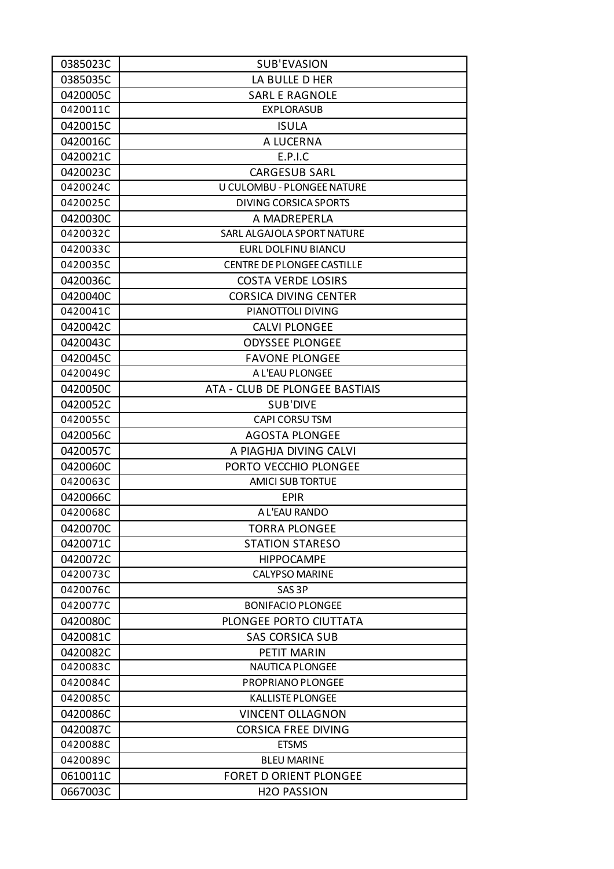| 0385035C<br>LA BULLE D HER<br>0420005C<br><b>SARL E RAGNOLE</b><br>0420011C<br><b>EXPLORASUB</b><br>0420015C<br><b>ISULA</b><br>0420016C<br>A LUCERNA<br>0420021C<br>E.P.I.C<br>0420023C<br><b>CARGESUB SARL</b><br>0420024C<br>U CULOMBU - PLONGEE NATURE<br>0420025C<br><b>DIVING CORSICA SPORTS</b><br>0420030C<br>A MADREPERLA<br>0420032C<br>SARL ALGAJOLA SPORT NATURE<br>EURL DOLFINU BIANCU<br>0420033C<br>0420035C<br><b>CENTRE DE PLONGEE CASTILLE</b><br>0420036C<br><b>COSTA VERDE LOSIRS</b><br>0420040C<br><b>CORSICA DIVING CENTER</b><br>0420041C<br>PIANOTTOLI DIVING<br>0420042C<br><b>CALVI PLONGEE</b><br>0420043C<br><b>ODYSSEE PLONGEE</b><br>0420045C<br><b>FAVONE PLONGEE</b><br>0420049C<br>A L'EAU PLONGEE<br>0420050C<br>ATA - CLUB DE PLONGEE BASTIAIS<br>0420052C<br><b>SUB'DIVE</b><br>0420055C<br><b>CAPI CORSU TSM</b><br>0420056C<br><b>AGOSTA PLONGEE</b><br>0420057C<br>A PIAGHJA DIVING CALVI<br>0420060C<br>PORTO VECCHIO PLONGEE<br><b>AMICI SUB TORTUE</b><br>0420063C<br>0420066C<br><b>EPIR</b><br>0420068C<br>A L'EAU RANDO<br>0420070C<br><b>TORRA PLONGEE</b><br>0420071C<br><b>STATION STARESO</b><br>0420072C<br><b>HIPPOCAMPE</b><br><b>CALYPSO MARINE</b><br>0420073C<br>0420076C<br>SAS <sub>3P</sub><br>0420077C<br><b>BONIFACIO PLONGEE</b><br>0420080C<br>PLONGEE PORTO CIUTTATA<br>0420081C<br><b>SAS CORSICA SUB</b><br>0420082C<br>PETIT MARIN<br>0420083C<br><b>NAUTICA PLONGEE</b><br>0420084C<br>PROPRIANO PLONGEE<br>0420085C<br><b>KALLISTE PLONGEE</b><br>0420086C<br><b>VINCENT OLLAGNON</b><br>0420087C<br><b>CORSICA FREE DIVING</b><br><b>ETSMS</b><br>0420088C<br>0420089C<br><b>BLEU MARINE</b><br>0610011C<br><b>FORET D ORIENT PLONGEE</b><br>0667003C<br><b>H2O PASSION</b> | 0385023C | <b>SUB'EVASION</b> |
|---------------------------------------------------------------------------------------------------------------------------------------------------------------------------------------------------------------------------------------------------------------------------------------------------------------------------------------------------------------------------------------------------------------------------------------------------------------------------------------------------------------------------------------------------------------------------------------------------------------------------------------------------------------------------------------------------------------------------------------------------------------------------------------------------------------------------------------------------------------------------------------------------------------------------------------------------------------------------------------------------------------------------------------------------------------------------------------------------------------------------------------------------------------------------------------------------------------------------------------------------------------------------------------------------------------------------------------------------------------------------------------------------------------------------------------------------------------------------------------------------------------------------------------------------------------------------------------------------------------------------------------------------------------------------------------------------------------------------------------------------|----------|--------------------|
|                                                                                                                                                                                                                                                                                                                                                                                                                                                                                                                                                                                                                                                                                                                                                                                                                                                                                                                                                                                                                                                                                                                                                                                                                                                                                                                                                                                                                                                                                                                                                                                                                                                                                                                                                   |          |                    |
|                                                                                                                                                                                                                                                                                                                                                                                                                                                                                                                                                                                                                                                                                                                                                                                                                                                                                                                                                                                                                                                                                                                                                                                                                                                                                                                                                                                                                                                                                                                                                                                                                                                                                                                                                   |          |                    |
|                                                                                                                                                                                                                                                                                                                                                                                                                                                                                                                                                                                                                                                                                                                                                                                                                                                                                                                                                                                                                                                                                                                                                                                                                                                                                                                                                                                                                                                                                                                                                                                                                                                                                                                                                   |          |                    |
|                                                                                                                                                                                                                                                                                                                                                                                                                                                                                                                                                                                                                                                                                                                                                                                                                                                                                                                                                                                                                                                                                                                                                                                                                                                                                                                                                                                                                                                                                                                                                                                                                                                                                                                                                   |          |                    |
|                                                                                                                                                                                                                                                                                                                                                                                                                                                                                                                                                                                                                                                                                                                                                                                                                                                                                                                                                                                                                                                                                                                                                                                                                                                                                                                                                                                                                                                                                                                                                                                                                                                                                                                                                   |          |                    |
|                                                                                                                                                                                                                                                                                                                                                                                                                                                                                                                                                                                                                                                                                                                                                                                                                                                                                                                                                                                                                                                                                                                                                                                                                                                                                                                                                                                                                                                                                                                                                                                                                                                                                                                                                   |          |                    |
|                                                                                                                                                                                                                                                                                                                                                                                                                                                                                                                                                                                                                                                                                                                                                                                                                                                                                                                                                                                                                                                                                                                                                                                                                                                                                                                                                                                                                                                                                                                                                                                                                                                                                                                                                   |          |                    |
|                                                                                                                                                                                                                                                                                                                                                                                                                                                                                                                                                                                                                                                                                                                                                                                                                                                                                                                                                                                                                                                                                                                                                                                                                                                                                                                                                                                                                                                                                                                                                                                                                                                                                                                                                   |          |                    |
|                                                                                                                                                                                                                                                                                                                                                                                                                                                                                                                                                                                                                                                                                                                                                                                                                                                                                                                                                                                                                                                                                                                                                                                                                                                                                                                                                                                                                                                                                                                                                                                                                                                                                                                                                   |          |                    |
|                                                                                                                                                                                                                                                                                                                                                                                                                                                                                                                                                                                                                                                                                                                                                                                                                                                                                                                                                                                                                                                                                                                                                                                                                                                                                                                                                                                                                                                                                                                                                                                                                                                                                                                                                   |          |                    |
|                                                                                                                                                                                                                                                                                                                                                                                                                                                                                                                                                                                                                                                                                                                                                                                                                                                                                                                                                                                                                                                                                                                                                                                                                                                                                                                                                                                                                                                                                                                                                                                                                                                                                                                                                   |          |                    |
|                                                                                                                                                                                                                                                                                                                                                                                                                                                                                                                                                                                                                                                                                                                                                                                                                                                                                                                                                                                                                                                                                                                                                                                                                                                                                                                                                                                                                                                                                                                                                                                                                                                                                                                                                   |          |                    |
|                                                                                                                                                                                                                                                                                                                                                                                                                                                                                                                                                                                                                                                                                                                                                                                                                                                                                                                                                                                                                                                                                                                                                                                                                                                                                                                                                                                                                                                                                                                                                                                                                                                                                                                                                   |          |                    |
|                                                                                                                                                                                                                                                                                                                                                                                                                                                                                                                                                                                                                                                                                                                                                                                                                                                                                                                                                                                                                                                                                                                                                                                                                                                                                                                                                                                                                                                                                                                                                                                                                                                                                                                                                   |          |                    |
|                                                                                                                                                                                                                                                                                                                                                                                                                                                                                                                                                                                                                                                                                                                                                                                                                                                                                                                                                                                                                                                                                                                                                                                                                                                                                                                                                                                                                                                                                                                                                                                                                                                                                                                                                   |          |                    |
|                                                                                                                                                                                                                                                                                                                                                                                                                                                                                                                                                                                                                                                                                                                                                                                                                                                                                                                                                                                                                                                                                                                                                                                                                                                                                                                                                                                                                                                                                                                                                                                                                                                                                                                                                   |          |                    |
|                                                                                                                                                                                                                                                                                                                                                                                                                                                                                                                                                                                                                                                                                                                                                                                                                                                                                                                                                                                                                                                                                                                                                                                                                                                                                                                                                                                                                                                                                                                                                                                                                                                                                                                                                   |          |                    |
|                                                                                                                                                                                                                                                                                                                                                                                                                                                                                                                                                                                                                                                                                                                                                                                                                                                                                                                                                                                                                                                                                                                                                                                                                                                                                                                                                                                                                                                                                                                                                                                                                                                                                                                                                   |          |                    |
|                                                                                                                                                                                                                                                                                                                                                                                                                                                                                                                                                                                                                                                                                                                                                                                                                                                                                                                                                                                                                                                                                                                                                                                                                                                                                                                                                                                                                                                                                                                                                                                                                                                                                                                                                   |          |                    |
|                                                                                                                                                                                                                                                                                                                                                                                                                                                                                                                                                                                                                                                                                                                                                                                                                                                                                                                                                                                                                                                                                                                                                                                                                                                                                                                                                                                                                                                                                                                                                                                                                                                                                                                                                   |          |                    |
|                                                                                                                                                                                                                                                                                                                                                                                                                                                                                                                                                                                                                                                                                                                                                                                                                                                                                                                                                                                                                                                                                                                                                                                                                                                                                                                                                                                                                                                                                                                                                                                                                                                                                                                                                   |          |                    |
|                                                                                                                                                                                                                                                                                                                                                                                                                                                                                                                                                                                                                                                                                                                                                                                                                                                                                                                                                                                                                                                                                                                                                                                                                                                                                                                                                                                                                                                                                                                                                                                                                                                                                                                                                   |          |                    |
|                                                                                                                                                                                                                                                                                                                                                                                                                                                                                                                                                                                                                                                                                                                                                                                                                                                                                                                                                                                                                                                                                                                                                                                                                                                                                                                                                                                                                                                                                                                                                                                                                                                                                                                                                   |          |                    |
|                                                                                                                                                                                                                                                                                                                                                                                                                                                                                                                                                                                                                                                                                                                                                                                                                                                                                                                                                                                                                                                                                                                                                                                                                                                                                                                                                                                                                                                                                                                                                                                                                                                                                                                                                   |          |                    |
|                                                                                                                                                                                                                                                                                                                                                                                                                                                                                                                                                                                                                                                                                                                                                                                                                                                                                                                                                                                                                                                                                                                                                                                                                                                                                                                                                                                                                                                                                                                                                                                                                                                                                                                                                   |          |                    |
|                                                                                                                                                                                                                                                                                                                                                                                                                                                                                                                                                                                                                                                                                                                                                                                                                                                                                                                                                                                                                                                                                                                                                                                                                                                                                                                                                                                                                                                                                                                                                                                                                                                                                                                                                   |          |                    |
|                                                                                                                                                                                                                                                                                                                                                                                                                                                                                                                                                                                                                                                                                                                                                                                                                                                                                                                                                                                                                                                                                                                                                                                                                                                                                                                                                                                                                                                                                                                                                                                                                                                                                                                                                   |          |                    |
|                                                                                                                                                                                                                                                                                                                                                                                                                                                                                                                                                                                                                                                                                                                                                                                                                                                                                                                                                                                                                                                                                                                                                                                                                                                                                                                                                                                                                                                                                                                                                                                                                                                                                                                                                   |          |                    |
|                                                                                                                                                                                                                                                                                                                                                                                                                                                                                                                                                                                                                                                                                                                                                                                                                                                                                                                                                                                                                                                                                                                                                                                                                                                                                                                                                                                                                                                                                                                                                                                                                                                                                                                                                   |          |                    |
|                                                                                                                                                                                                                                                                                                                                                                                                                                                                                                                                                                                                                                                                                                                                                                                                                                                                                                                                                                                                                                                                                                                                                                                                                                                                                                                                                                                                                                                                                                                                                                                                                                                                                                                                                   |          |                    |
|                                                                                                                                                                                                                                                                                                                                                                                                                                                                                                                                                                                                                                                                                                                                                                                                                                                                                                                                                                                                                                                                                                                                                                                                                                                                                                                                                                                                                                                                                                                                                                                                                                                                                                                                                   |          |                    |
|                                                                                                                                                                                                                                                                                                                                                                                                                                                                                                                                                                                                                                                                                                                                                                                                                                                                                                                                                                                                                                                                                                                                                                                                                                                                                                                                                                                                                                                                                                                                                                                                                                                                                                                                                   |          |                    |
|                                                                                                                                                                                                                                                                                                                                                                                                                                                                                                                                                                                                                                                                                                                                                                                                                                                                                                                                                                                                                                                                                                                                                                                                                                                                                                                                                                                                                                                                                                                                                                                                                                                                                                                                                   |          |                    |
|                                                                                                                                                                                                                                                                                                                                                                                                                                                                                                                                                                                                                                                                                                                                                                                                                                                                                                                                                                                                                                                                                                                                                                                                                                                                                                                                                                                                                                                                                                                                                                                                                                                                                                                                                   |          |                    |
|                                                                                                                                                                                                                                                                                                                                                                                                                                                                                                                                                                                                                                                                                                                                                                                                                                                                                                                                                                                                                                                                                                                                                                                                                                                                                                                                                                                                                                                                                                                                                                                                                                                                                                                                                   |          |                    |
|                                                                                                                                                                                                                                                                                                                                                                                                                                                                                                                                                                                                                                                                                                                                                                                                                                                                                                                                                                                                                                                                                                                                                                                                                                                                                                                                                                                                                                                                                                                                                                                                                                                                                                                                                   |          |                    |
|                                                                                                                                                                                                                                                                                                                                                                                                                                                                                                                                                                                                                                                                                                                                                                                                                                                                                                                                                                                                                                                                                                                                                                                                                                                                                                                                                                                                                                                                                                                                                                                                                                                                                                                                                   |          |                    |
|                                                                                                                                                                                                                                                                                                                                                                                                                                                                                                                                                                                                                                                                                                                                                                                                                                                                                                                                                                                                                                                                                                                                                                                                                                                                                                                                                                                                                                                                                                                                                                                                                                                                                                                                                   |          |                    |
|                                                                                                                                                                                                                                                                                                                                                                                                                                                                                                                                                                                                                                                                                                                                                                                                                                                                                                                                                                                                                                                                                                                                                                                                                                                                                                                                                                                                                                                                                                                                                                                                                                                                                                                                                   |          |                    |
|                                                                                                                                                                                                                                                                                                                                                                                                                                                                                                                                                                                                                                                                                                                                                                                                                                                                                                                                                                                                                                                                                                                                                                                                                                                                                                                                                                                                                                                                                                                                                                                                                                                                                                                                                   |          |                    |
|                                                                                                                                                                                                                                                                                                                                                                                                                                                                                                                                                                                                                                                                                                                                                                                                                                                                                                                                                                                                                                                                                                                                                                                                                                                                                                                                                                                                                                                                                                                                                                                                                                                                                                                                                   |          |                    |
|                                                                                                                                                                                                                                                                                                                                                                                                                                                                                                                                                                                                                                                                                                                                                                                                                                                                                                                                                                                                                                                                                                                                                                                                                                                                                                                                                                                                                                                                                                                                                                                                                                                                                                                                                   |          |                    |
|                                                                                                                                                                                                                                                                                                                                                                                                                                                                                                                                                                                                                                                                                                                                                                                                                                                                                                                                                                                                                                                                                                                                                                                                                                                                                                                                                                                                                                                                                                                                                                                                                                                                                                                                                   |          |                    |
|                                                                                                                                                                                                                                                                                                                                                                                                                                                                                                                                                                                                                                                                                                                                                                                                                                                                                                                                                                                                                                                                                                                                                                                                                                                                                                                                                                                                                                                                                                                                                                                                                                                                                                                                                   |          |                    |
|                                                                                                                                                                                                                                                                                                                                                                                                                                                                                                                                                                                                                                                                                                                                                                                                                                                                                                                                                                                                                                                                                                                                                                                                                                                                                                                                                                                                                                                                                                                                                                                                                                                                                                                                                   |          |                    |
|                                                                                                                                                                                                                                                                                                                                                                                                                                                                                                                                                                                                                                                                                                                                                                                                                                                                                                                                                                                                                                                                                                                                                                                                                                                                                                                                                                                                                                                                                                                                                                                                                                                                                                                                                   |          |                    |
|                                                                                                                                                                                                                                                                                                                                                                                                                                                                                                                                                                                                                                                                                                                                                                                                                                                                                                                                                                                                                                                                                                                                                                                                                                                                                                                                                                                                                                                                                                                                                                                                                                                                                                                                                   |          |                    |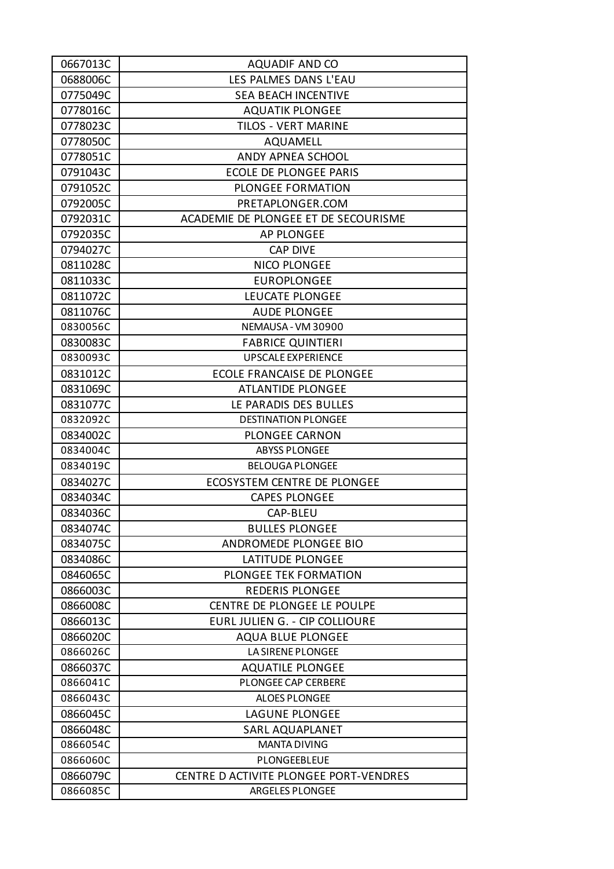| 0667013C | <b>AQUADIF AND CO</b>                  |
|----------|----------------------------------------|
| 0688006C | LES PALMES DANS L'EAU                  |
| 0775049C | <b>SEA BEACH INCENTIVE</b>             |
| 0778016C | <b>AQUATIK PLONGEE</b>                 |
| 0778023C | <b>TILOS - VERT MARINE</b>             |
| 0778050C | AQUAMELL                               |
| 0778051C | ANDY APNEA SCHOOL                      |
| 0791043C | <b>ECOLE DE PLONGEE PARIS</b>          |
| 0791052C | <b>PLONGEE FORMATION</b>               |
| 0792005C | PRETAPLONGER.COM                       |
| 0792031C | ACADEMIE DE PLONGEE ET DE SECOURISME   |
| 0792035C | <b>AP PLONGEE</b>                      |
| 0794027C | <b>CAP DIVE</b>                        |
| 0811028C | <b>NICO PLONGEE</b>                    |
| 0811033C | <b>EUROPLONGEE</b>                     |
| 0811072C | LEUCATE PLONGEE                        |
| 0811076C | <b>AUDE PLONGEE</b>                    |
| 0830056C | NEMAUSA - VM 30900                     |
| 0830083C | <b>FABRICE QUINTIERI</b>               |
| 0830093C | <b>UPSCALE EXPERIENCE</b>              |
| 0831012C | ECOLE FRANCAISE DE PLONGEE             |
| 0831069C | <b>ATLANTIDE PLONGEE</b>               |
| 0831077C | LE PARADIS DES BULLES                  |
| 0832092C | <b>DESTINATION PLONGEE</b>             |
| 0834002C | <b>PLONGEE CARNON</b>                  |
| 0834004C | <b>ABYSS PLONGEE</b>                   |
| 0834019C | <b>BELOUGA PLONGEE</b>                 |
| 0834027C | <b>ECOSYSTEM CENTRE DE PLONGEE</b>     |
| 0834034C | <b>CAPES PLONGEE</b>                   |
| 0834036C | CAP-BLEU                               |
| 0834074C | <b>BULLES PLONGEE</b>                  |
| 0834075C | ANDROMEDE PLONGEE BIO                  |
| 0834086C | <b>LATITUDE PLONGEE</b>                |
| 0846065C | <b>PLONGEE TEK FORMATION</b>           |
| 0866003C | <b>REDERIS PLONGEE</b>                 |
| 0866008C | CENTRE DE PLONGEE LE POULPE            |
| 0866013C | EURL JULIEN G. - CIP COLLIOURE         |
| 0866020C | <b>AQUA BLUE PLONGEE</b>               |
| 0866026C | LA SIRENE PLONGEE                      |
| 0866037C | <b>AQUATILE PLONGEE</b>                |
| 0866041C | PLONGEE CAP CERBERE                    |
| 0866043C | <b>ALOES PLONGEE</b>                   |
| 0866045C | LAGUNE PLONGEE                         |
| 0866048C | <b>SARL AQUAPLANET</b>                 |
| 0866054C | <b>MANTA DIVING</b>                    |
| 0866060C | PLONGEEBLEUE                           |
| 0866079C | CENTRE D ACTIVITE PLONGEE PORT-VENDRES |
| 0866085C | ARGELES PLONGEE                        |
|          |                                        |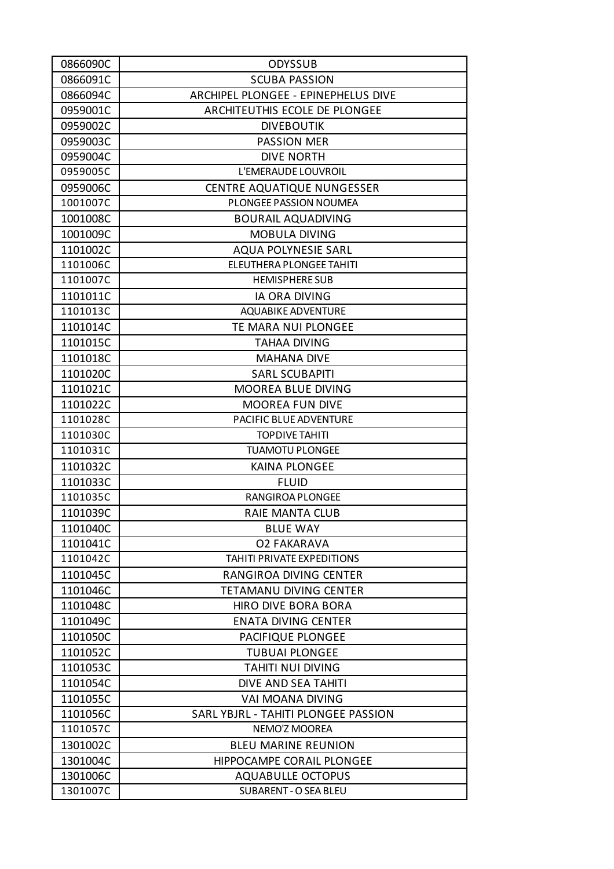| 0866090C | <b>ODYSSUB</b>                      |
|----------|-------------------------------------|
| 0866091C | <b>SCUBA PASSION</b>                |
| 0866094C | ARCHIPEL PLONGEE - EPINEPHELUS DIVE |
| 0959001C | ARCHITEUTHIS ECOLE DE PLONGEE       |
| 0959002C | <b>DIVEBOUTIK</b>                   |
| 0959003C | <b>PASSION MER</b>                  |
| 0959004C | <b>DIVE NORTH</b>                   |
| 0959005C | L'EMERAUDE LOUVROIL                 |
| 0959006C | <b>CENTRE AQUATIQUE NUNGESSER</b>   |
| 1001007C | PLONGEE PASSION NOUMEA              |
| 1001008C | <b>BOURAIL AQUADIVING</b>           |
| 1001009C | MOBULA DIVING                       |
| 1101002C | <b>AQUA POLYNESIE SARL</b>          |
| 1101006C | ELEUTHERA PLONGEE TAHITI            |
| 1101007C | <b>HEMISPHERE SUB</b>               |
| 1101011C | <b>IA ORA DIVING</b>                |
| 1101013C | <b>AQUABIKE ADVENTURE</b>           |
| 1101014C | <b>TE MARA NUI PLONGEE</b>          |
| 1101015C | <b>TAHAA DIVING</b>                 |
| 1101018C | <b>MAHANA DIVE</b>                  |
| 1101020C | <b>SARL SCUBAPITI</b>               |
| 1101021C | <b>MOOREA BLUE DIVING</b>           |
| 1101022C | <b>MOOREA FUN DIVE</b>              |
| 1101028C | PACIFIC BLUE ADVENTURE              |
| 1101030C | <b>TOPDIVE TAHITI</b>               |
| 1101031C | <b>TUAMOTU PLONGEE</b>              |
| 1101032C | <b>KAINA PLONGEE</b>                |
| 1101033C | <b>FLUID</b>                        |
| 1101035C | RANGIROA PLONGEE                    |
| 1101039C | <b>RAIE MANTA CLUB</b>              |
| 1101040C | <b>BLUE WAY</b>                     |
| 1101041C | <b>O2 FAKARAVA</b>                  |
| 1101042C | <b>TAHITI PRIVATE EXPEDITIONS</b>   |
| 1101045C | RANGIROA DIVING CENTER              |
| 1101046C | TETAMANU DIVING CENTER              |
| 1101048C | <b>HIRO DIVE BORA BORA</b>          |
| 1101049C | <b>ENATA DIVING CENTER</b>          |
| 1101050C | PACIFIQUE PLONGEE                   |
| 1101052C | <b>TUBUAI PLONGEE</b>               |
| 1101053C | <b>TAHITI NUI DIVING</b>            |
| 1101054C | DIVE AND SEA TAHITI                 |
| 1101055C | VAI MOANA DIVING                    |
| 1101056C | SARL YBJRL - TAHITI PLONGEE PASSION |
| 1101057C | NEMO'Z MOOREA                       |
|          | <b>BLEU MARINE REUNION</b>          |
| 1301002C |                                     |
| 1301004C | HIPPOCAMPE CORAIL PLONGEE           |
| 1301006C | <b>AQUABULLE OCTOPUS</b>            |
| 1301007C | <b>SUBARENT - O SEA BLEU</b>        |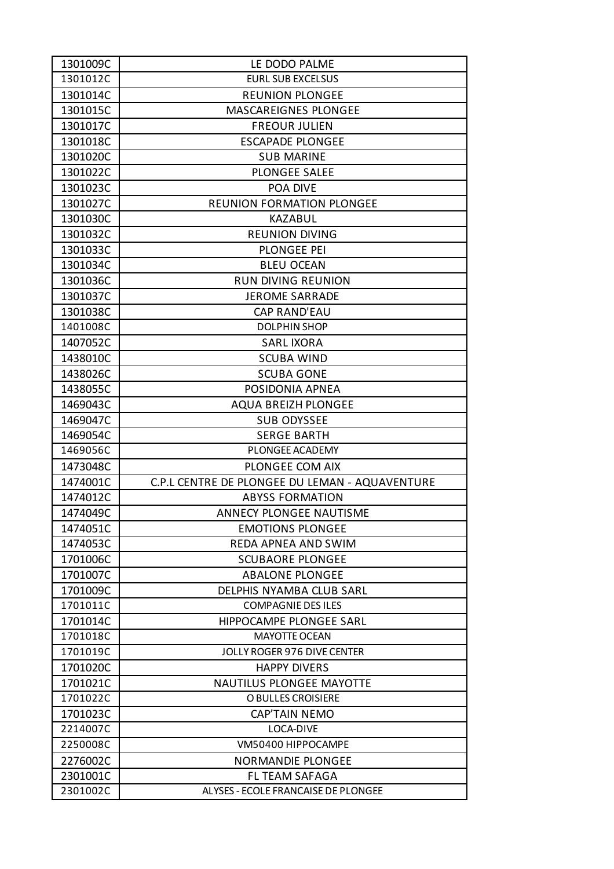| 1301009C | LE DODO PALME                                  |
|----------|------------------------------------------------|
| 1301012C | <b>EURL SUB EXCELSUS</b>                       |
| 1301014C | <b>REUNION PLONGEE</b>                         |
| 1301015C | MASCAREIGNES PLONGEE                           |
| 1301017C | <b>FREOUR JULIEN</b>                           |
| 1301018C | <b>ESCAPADE PLONGEE</b>                        |
| 1301020C | <b>SUB MARINE</b>                              |
| 1301022C | <b>PLONGEE SALEE</b>                           |
| 1301023C | POA DIVE                                       |
| 1301027C | <b>REUNION FORMATION PLONGEE</b>               |
| 1301030C | KAZABUL                                        |
| 1301032C | <b>REUNION DIVING</b>                          |
| 1301033C | PLONGEE PEI                                    |
| 1301034C | <b>BLEU OCEAN</b>                              |
| 1301036C | <b>RUN DIVING REUNION</b>                      |
| 1301037C | <b>JEROME SARRADE</b>                          |
| 1301038C | <b>CAP RAND'EAU</b>                            |
| 1401008C | <b>DOLPHIN SHOP</b>                            |
| 1407052C | <b>SARL IXORA</b>                              |
| 1438010C | <b>SCUBA WIND</b>                              |
| 1438026C | <b>SCUBA GONE</b>                              |
| 1438055C | POSIDONIA APNEA                                |
| 1469043C | <b>AQUA BREIZH PLONGEE</b>                     |
| 1469047C | <b>SUB ODYSSEE</b>                             |
| 1469054C | <b>SERGE BARTH</b>                             |
| 1469056C | PLONGEE ACADEMY                                |
| 1473048C | PLONGEE COM AIX                                |
| 1474001C | C.P.L CENTRE DE PLONGEE DU LEMAN - AQUAVENTURE |
| 1474012C | <b>ABYSS FORMATION</b>                         |
| 1474049C | ANNECY PLONGEE NAUTISME                        |
| 1474051C | <b>EMOTIONS PLONGEE</b>                        |
| 1474053C | <b>REDA APNEA AND SWIM</b>                     |
| 1701006C | <b>SCUBAORE PLONGEE</b>                        |
| 1701007C | <b>ABALONE PLONGEE</b>                         |
| 1701009C | <b>DELPHIS NYAMBA CLUB SARL</b>                |
| 1701011C | <b>COMPAGNIE DES ILES</b>                      |
| 1701014C | HIPPOCAMPE PLONGEE SARL                        |
| 1701018C | <b>MAYOTTE OCEAN</b>                           |
| 1701019C | JOLLY ROGER 976 DIVE CENTER                    |
| 1701020C | <b>HAPPY DIVERS</b>                            |
| 1701021C | <b>NAUTILUS PLONGEE MAYOTTE</b>                |
| 1701022C | O BULLES CROISIERE                             |
| 1701023C | <b>CAP'TAIN NEMO</b>                           |
| 2214007C | LOCA-DIVE                                      |
| 2250008C | VM50400 HIPPOCAMPE                             |
| 2276002C | <b>NORMANDIE PLONGEE</b>                       |
| 2301001C | FL TEAM SAFAGA                                 |
| 2301002C | ALYSES - ECOLE FRANCAISE DE PLONGEE            |
|          |                                                |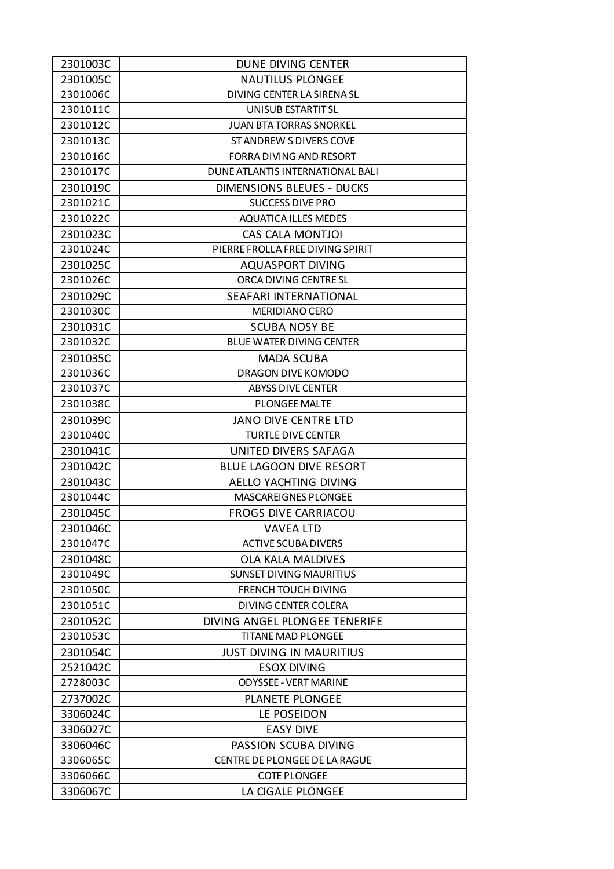| 2301003C | <b>DUNE DIVING CENTER</b>        |
|----------|----------------------------------|
| 2301005C | <b>NAUTILUS PLONGEE</b>          |
| 2301006C | DIVING CENTER LA SIRENA SL       |
| 2301011C | UNISUB ESTARTIT SL               |
| 2301012C | <b>JUAN BTA TORRAS SNORKEL</b>   |
| 2301013C | ST ANDREW S DIVERS COVE          |
| 2301016C | FORRA DIVING AND RESORT          |
| 2301017C | DUNE ATLANTIS INTERNATIONAL BALI |
| 2301019C | <b>DIMENSIONS BLEUES - DUCKS</b> |
| 2301021C | <b>SUCCESS DIVE PRO</b>          |
| 2301022C | <b>AQUATICA ILLES MEDES</b>      |
| 2301023C | CAS CALA MONTJOI                 |
| 2301024C | PIERRE FROLLA FREE DIVING SPIRIT |
| 2301025C | <b>AQUASPORT DIVING</b>          |
| 2301026C | ORCA DIVING CENTRE SL            |
| 2301029C | SEAFARI INTERNATIONAL            |
| 2301030C | MERIDIANO CERO                   |
| 2301031C | <b>SCUBA NOSY BE</b>             |
| 2301032C | <b>BLUE WATER DIVING CENTER</b>  |
| 2301035C | <b>MADA SCUBA</b>                |
| 2301036C | DRAGON DIVE KOMODO               |
| 2301037C | <b>ABYSS DIVE CENTER</b>         |
| 2301038C | <b>PLONGEE MALTE</b>             |
| 2301039C | <b>JANO DIVE CENTRE LTD</b>      |
| 2301040C | <b>TURTLE DIVE CENTER</b>        |
| 2301041C | UNITED DIVERS SAFAGA             |
| 2301042C | <b>BLUE LAGOON DIVE RESORT</b>   |
| 2301043C | AELLO YACHTING DIVING            |
| 2301044C | <b>MASCAREIGNES PLONGEE</b>      |
| 2301045C | <b>FROGS DIVE CARRIACOU</b>      |
| 2301046C | <b>VAVEA LTD</b>                 |
| 2301047C | <b>ACTIVE SCUBA DIVERS</b>       |
| 2301048C | <b>OLA KALA MALDIVES</b>         |
| 2301049C | <b>SUNSET DIVING MAURITIUS</b>   |
| 2301050C | <b>FRENCH TOUCH DIVING</b>       |
| 2301051C | <b>DIVING CENTER COLERA</b>      |
| 2301052C | DIVING ANGEL PLONGEE TENERIFE    |
| 2301053C | <b>TITANE MAD PLONGEE</b>        |
| 2301054C | <b>JUST DIVING IN MAURITIUS</b>  |
| 2521042C | <b>ESOX DIVING</b>               |
| 2728003C | <b>ODYSSEE - VERT MARINE</b>     |
| 2737002C | <b>PLANETE PLONGEE</b>           |
| 3306024C | LE POSEIDON                      |
| 3306027C | <b>EASY DIVE</b>                 |
| 3306046C | PASSION SCUBA DIVING             |
| 3306065C | CENTRE DE PLONGEE DE LA RAGUE    |
| 3306066C | <b>COTE PLONGEE</b>              |
| 3306067C | LA CIGALE PLONGEE                |
|          |                                  |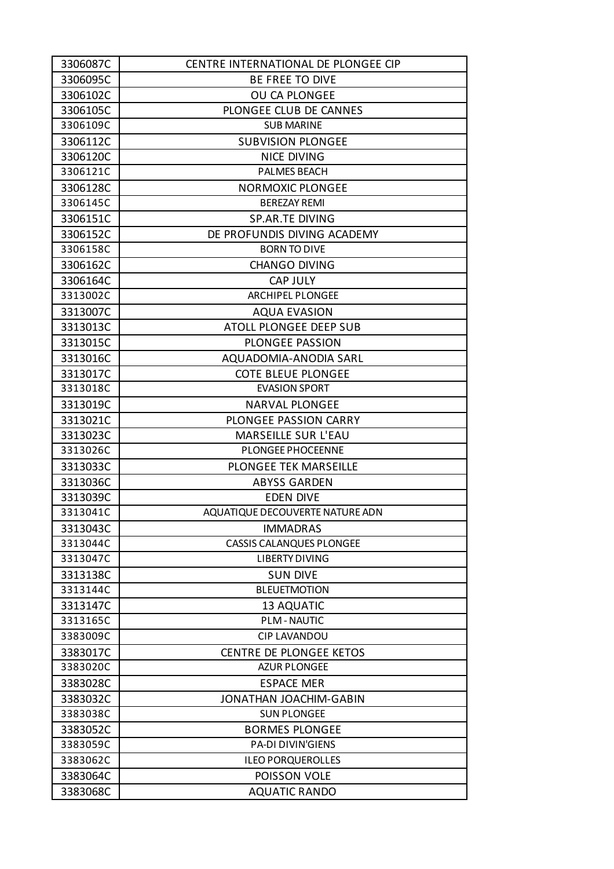| 3306087C | CENTRE INTERNATIONAL DE PLONGEE CIP |
|----------|-------------------------------------|
| 3306095C | BE FREE TO DIVE                     |
| 3306102C | <b>OU CA PLONGEE</b>                |
| 3306105C | PLONGEE CLUB DE CANNES              |
| 3306109C | <b>SUB MARINE</b>                   |
| 3306112C | <b>SUBVISION PLONGEE</b>            |
| 3306120C | <b>NICE DIVING</b>                  |
| 3306121C | <b>PALMES BEACH</b>                 |
| 3306128C | <b>NORMOXIC PLONGEE</b>             |
| 3306145C | <b>BEREZAY REMI</b>                 |
| 3306151C | <b>SP.AR.TE DIVING</b>              |
| 3306152C | DE PROFUNDIS DIVING ACADEMY         |
| 3306158C | <b>BORN TO DIVE</b>                 |
| 3306162C | <b>CHANGO DIVING</b>                |
| 3306164C | <b>CAP JULY</b>                     |
| 3313002C | <b>ARCHIPEL PLONGEE</b>             |
| 3313007C | <b>AQUA EVASION</b>                 |
| 3313013C | <b>ATOLL PLONGEE DEEP SUB</b>       |
| 3313015C | PLONGEE PASSION                     |
| 3313016C | AQUADOMIA-ANODIA SARL               |
| 3313017C | <b>COTE BLEUE PLONGEE</b>           |
| 3313018C | <b>EVASION SPORT</b>                |
| 3313019C | <b>NARVAL PLONGEE</b>               |
| 3313021C | PLONGEE PASSION CARRY               |
| 3313023C | <b>MARSEILLE SUR L'EAU</b>          |
| 3313026C | PLONGEE PHOCEENNE                   |
| 3313033C | <b>PLONGEE TEK MARSEILLE</b>        |
| 3313036C | <b>ABYSS GARDEN</b>                 |
| 3313039C | <b>EDEN DIVE</b>                    |
| 3313041C | AQUATIQUE DECOUVERTE NATURE ADN     |
| 3313043C | <b>IMMADRAS</b>                     |
| 3313044C | <b>CASSIS CALANQUES PLONGEE</b>     |
| 3313047C | <b>LIBERTY DIVING</b>               |
| 3313138C | <b>SUN DIVE</b>                     |
| 3313144C | <b>BLEUETMOTION</b>                 |
| 3313147C | <b>13 AQUATIC</b>                   |
| 3313165C | <b>PLM-NAUTIC</b>                   |
| 3383009C | <b>CIP LAVANDOU</b>                 |
| 3383017C | <b>CENTRE DE PLONGEE KETOS</b>      |
| 3383020C | <b>AZUR PLONGEE</b>                 |
| 3383028C | <b>ESPACE MER</b>                   |
| 3383032C | <b>JONATHAN JOACHIM-GABIN</b>       |
| 3383038C | <b>SUN PLONGEE</b>                  |
| 3383052C | <b>BORMES PLONGEE</b>               |
| 3383059C | <b>PA-DI DIVIN'GIENS</b>            |
| 3383062C | <b>ILEO PORQUEROLLES</b>            |
| 3383064C | POISSON VOLE                        |
| 3383068C | <b>AQUATIC RANDO</b>                |
|          |                                     |